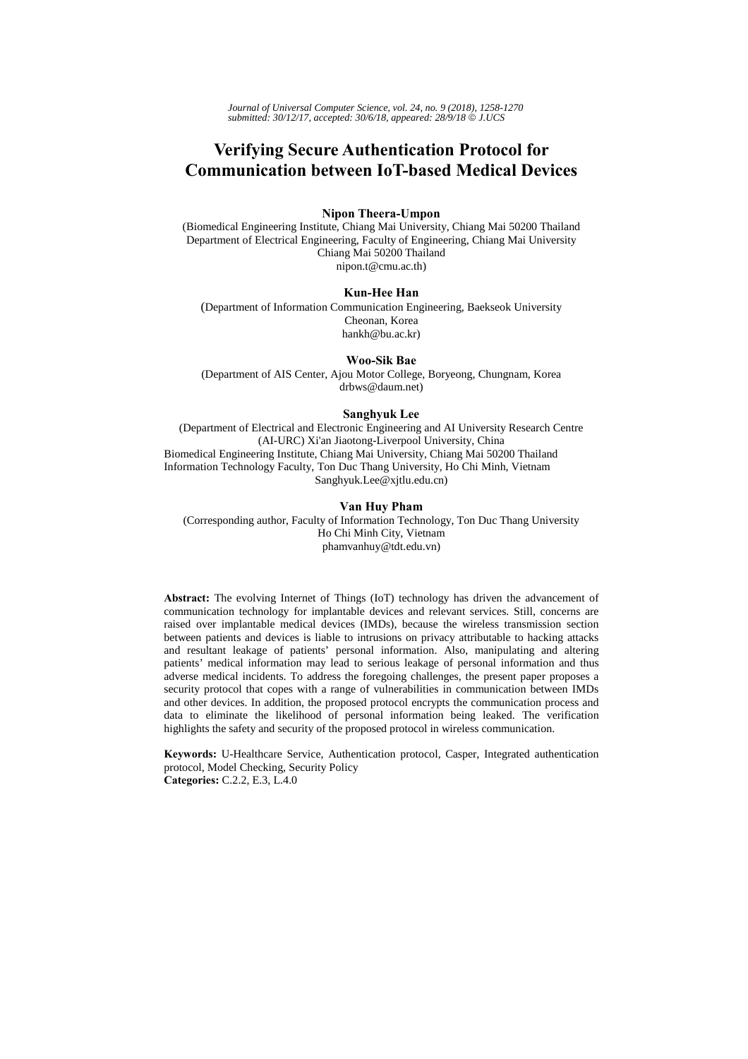*Journal of Universal Computer Science, vol. 24, no. 9 (2018), 1258-1270 submitted: 30/12/17, accepted: 30/6/18, appeared: 28/9/18* © *J.UCS*

# **Verifying Secure Authentication Protocol for Communication between IoT-based Medical Devices**

## **Nipon Theera-Umpon**

(Biomedical Engineering Institute, Chiang Mai University, Chiang Mai 50200 Thailand Department of Electrical Engineering, Faculty of Engineering, Chiang Mai University Chiang Mai 50200 Thailand nipon.t@cmu.ac.th)

#### **Kun-Hee Han**

(Department of Information Communication Engineering, Baekseok University Cheonan, Korea hankh@bu.ac.kr)

#### **Woo-Sik Bae**

(Department of AIS Center, Ajou Motor College, Boryeong, Chungnam, Korea drbws@daum.net)

#### **Sanghyuk Lee**

(Department of Electrical and Electronic Engineering and AI University Research Centre (AI-URC) Xi'an Jiaotong-Liverpool University, China Biomedical Engineering Institute, Chiang Mai University, Chiang Mai 50200 Thailand Information Technology Faculty, Ton Duc Thang University, Ho Chi Minh, Vietnam Sanghyuk.Lee@xjtlu.edu.cn)

#### **Van Huy Pham**

(Corresponding author, Faculty of Information Technology, Ton Duc Thang University Ho Chi Minh City, Vietnam phamvanhuy@tdt.edu.vn)

**Abstract:** The evolving Internet of Things (IoT) technology has driven the advancement of communication technology for implantable devices and relevant services. Still, concerns are raised over implantable medical devices (IMDs), because the wireless transmission section between patients and devices is liable to intrusions on privacy attributable to hacking attacks and resultant leakage of patients' personal information. Also, manipulating and altering patients' medical information may lead to serious leakage of personal information and thus adverse medical incidents. To address the foregoing challenges, the present paper proposes a security protocol that copes with a range of vulnerabilities in communication between IMDs and other devices. In addition, the proposed protocol encrypts the communication process and data to eliminate the likelihood of personal information being leaked. The verification highlights the safety and security of the proposed protocol in wireless communication.

**Keywords:** U-Healthcare Service, Authentication protocol, Casper, Integrated authentication protocol, Model Checking, Security Policy **Categories:** C.2.2, E.3, L.4.0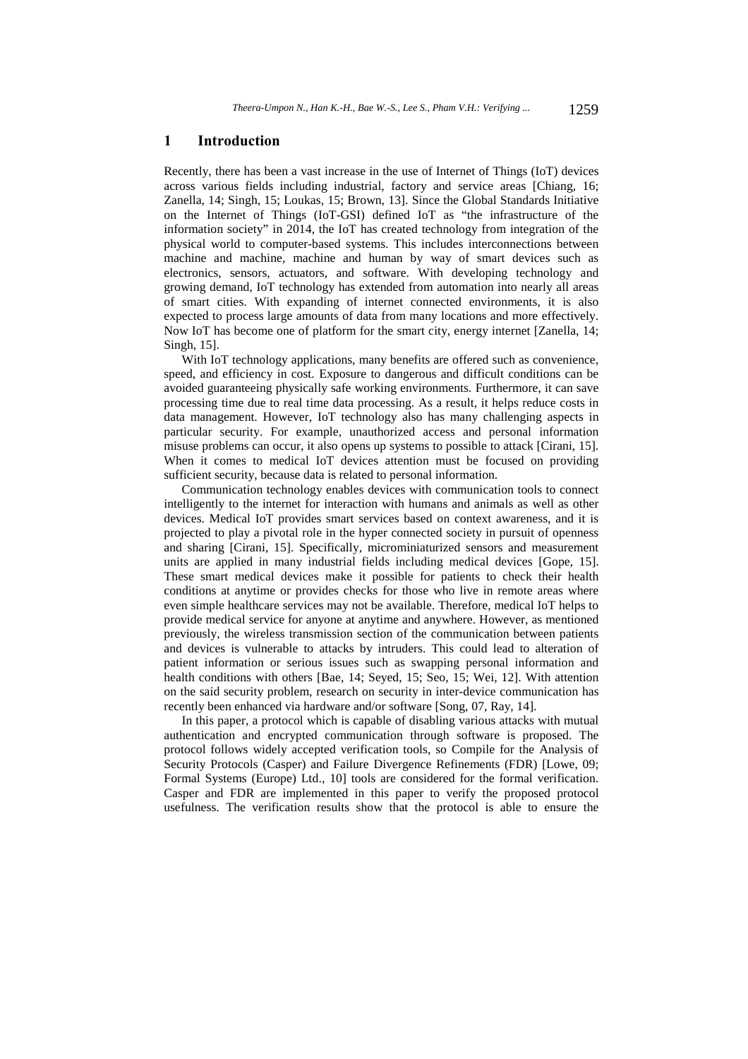### **1 Introduction**

Recently, there has been a vast increase in the use of Internet of Things (IoT) devices across various fields including industrial, factory and service areas [Chiang, 16; Zanella, 14; Singh, 15; Loukas, 15; Brown, 13]. Since the Global Standards Initiative on the Internet of Things (IoT-GSI) defined IoT as "the infrastructure of the information society" in 2014, the IoT has created technology from integration of the physical world to computer-based systems. This includes interconnections between machine and machine, machine and human by way of smart devices such as electronics, sensors, actuators, and software. With developing technology and growing demand, IoT technology has extended from automation into nearly all areas of smart cities. With expanding of internet connected environments, it is also expected to process large amounts of data from many locations and more effectively. Now IoT has become one of platform for the smart city, energy internet [Zanella, 14; Singh, 15].

With IoT technology applications, many benefits are offered such as convenience, speed, and efficiency in cost. Exposure to dangerous and difficult conditions can be avoided guaranteeing physically safe working environments. Furthermore, it can save processing time due to real time data processing. As a result, it helps reduce costs in data management. However, IoT technology also has many challenging aspects in particular security. For example, unauthorized access and personal information misuse problems can occur, it also opens up systems to possible to attack [Cirani, 15]. When it comes to medical IoT devices attention must be focused on providing sufficient security, because data is related to personal information.

Communication technology enables devices with communication tools to connect intelligently to the internet for interaction with humans and animals as well as other devices. Medical IoT provides smart services based on context awareness, and it is projected to play a pivotal role in the hyper connected society in pursuit of openness and sharing [Cirani, 15]. Specifically, microminiaturized sensors and measurement units are applied in many industrial fields including medical devices [Gope, 15]. These smart medical devices make it possible for patients to check their health conditions at anytime or provides checks for those who live in remote areas where even simple healthcare services may not be available. Therefore, medical IoT helps to provide medical service for anyone at anytime and anywhere. However, as mentioned previously, the wireless transmission section of the communication between patients and devices is vulnerable to attacks by intruders. This could lead to alteration of patient information or serious issues such as swapping personal information and health conditions with others [Bae, 14; Seyed, 15; Seo, 15; Wei, 12]. With attention on the said security problem, research on security in inter-device communication has recently been enhanced via hardware and/or software [Song, 07, Ray, 14].

In this paper, a protocol which is capable of disabling various attacks with mutual authentication and encrypted communication through software is proposed. The protocol follows widely accepted verification tools, so Compile for the Analysis of Security Protocols (Casper) and Failure Divergence Refinements (FDR) [Lowe, 09; Formal Systems (Europe) Ltd., 10] tools are considered for the formal verification. Casper and FDR are implemented in this paper to verify the proposed protocol usefulness. The verification results show that the protocol is able to ensure the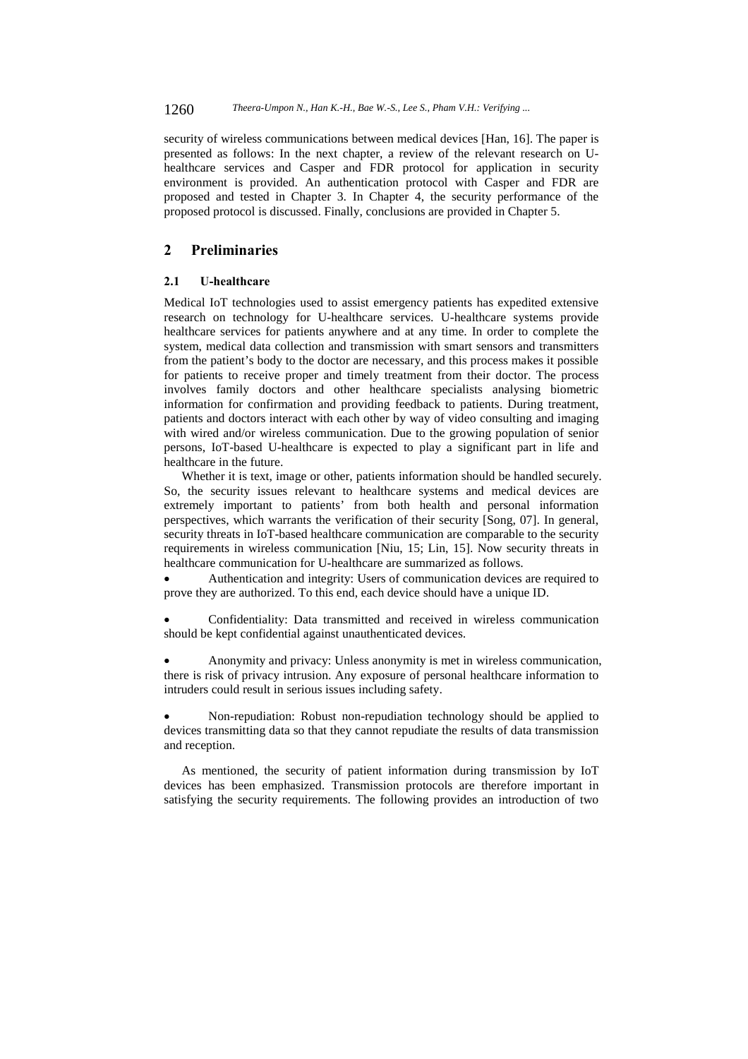1260 *Theera-Umpon N., Han K.-H., Bae W.-S., Lee S., Pham V.H.: Verifying ...*

security of wireless communications between medical devices [Han, 16]. The paper is presented as follows: In the next chapter, a review of the relevant research on Uhealthcare services and Casper and FDR protocol for application in security environment is provided. An authentication protocol with Casper and FDR are proposed and tested in Chapter 3. In Chapter 4, the security performance of the proposed protocol is discussed. Finally, conclusions are provided in Chapter 5.

## **2 Preliminaries**

### **2.1 U-healthcare**

Medical IoT technologies used to assist emergency patients has expedited extensive research on technology for U-healthcare services. U-healthcare systems provide healthcare services for patients anywhere and at any time. In order to complete the system, medical data collection and transmission with smart sensors and transmitters from the patient's body to the doctor are necessary, and this process makes it possible for patients to receive proper and timely treatment from their doctor. The process involves family doctors and other healthcare specialists analysing biometric information for confirmation and providing feedback to patients. During treatment, patients and doctors interact with each other by way of video consulting and imaging with wired and/or wireless communication. Due to the growing population of senior persons, IoT-based U-healthcare is expected to play a significant part in life and healthcare in the future.

Whether it is text, image or other, patients information should be handled securely. So, the security issues relevant to healthcare systems and medical devices are extremely important to patients' from both health and personal information perspectives, which warrants the verification of their security [Song, 07]. In general, security threats in IoT-based healthcare communication are comparable to the security requirements in wireless communication [Niu, 15; Lin, 15]. Now security threats in healthcare communication for U-healthcare are summarized as follows.

 Authentication and integrity: Users of communication devices are required to prove they are authorized. To this end, each device should have a unique ID.

 Confidentiality: Data transmitted and received in wireless communication should be kept confidential against unauthenticated devices.

 Anonymity and privacy: Unless anonymity is met in wireless communication, there is risk of privacy intrusion. Any exposure of personal healthcare information to intruders could result in serious issues including safety.

 Non-repudiation: Robust non-repudiation technology should be applied to devices transmitting data so that they cannot repudiate the results of data transmission and reception.

As mentioned, the security of patient information during transmission by IoT devices has been emphasized. Transmission protocols are therefore important in satisfying the security requirements. The following provides an introduction of two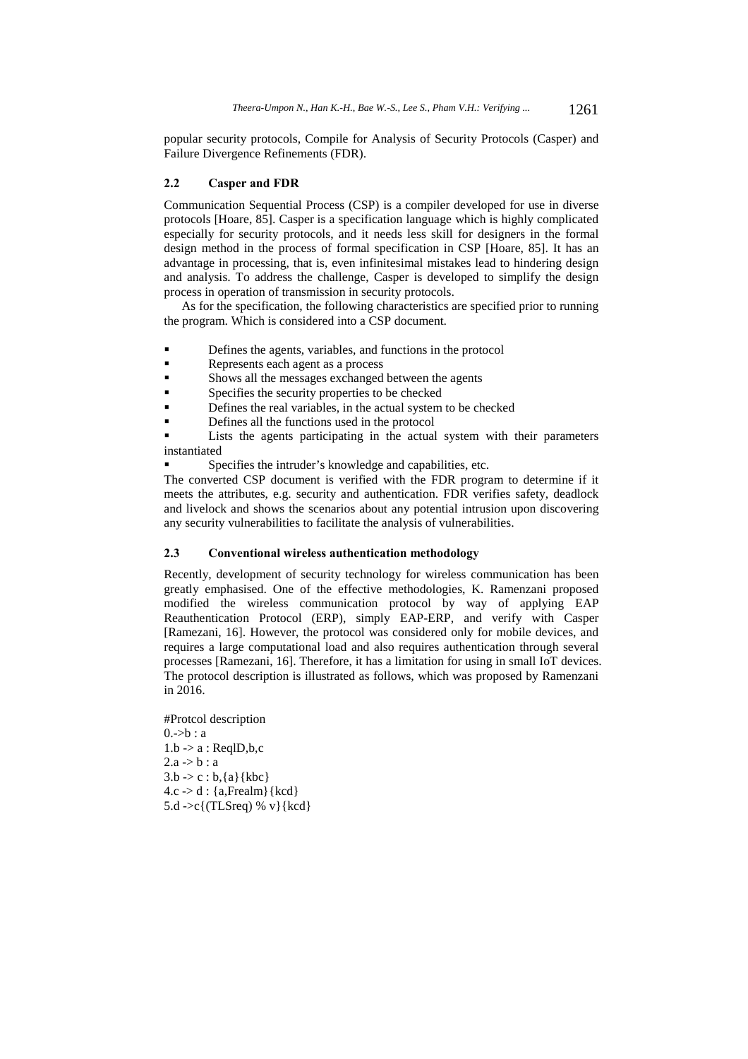popular security protocols, Compile for Analysis of Security Protocols (Casper) and Failure Divergence Refinements (FDR).

#### **2.2 Casper and FDR**

Communication Sequential Process (CSP) is a compiler developed for use in diverse protocols [Hoare, 85]. Casper is a specification language which is highly complicated especially for security protocols, and it needs less skill for designers in the formal design method in the process of formal specification in CSP [Hoare, 85]. It has an advantage in processing, that is, even infinitesimal mistakes lead to hindering design and analysis. To address the challenge, Casper is developed to simplify the design process in operation of transmission in security protocols.

As for the specification, the following characteristics are specified prior to running the program. Which is considered into a CSP document.

- **•** Defines the agents, variables, and functions in the protocol
- Represents each agent as a process
- Shows all the messages exchanged between the agents
- Specifies the security properties to be checked
- Defines the real variables, in the actual system to be checked
- Defines all the functions used in the protocol

 Lists the agents participating in the actual system with their parameters instantiated

Specifies the intruder's knowledge and capabilities, etc.

The converted CSP document is verified with the FDR program to determine if it meets the attributes, e.g. security and authentication. FDR verifies safety, deadlock and livelock and shows the scenarios about any potential intrusion upon discovering any security vulnerabilities to facilitate the analysis of vulnerabilities.

#### **2.3 Conventional wireless authentication methodology**

Recently, development of security technology for wireless communication has been greatly emphasised. One of the effective methodologies, K. Ramenzani proposed modified the wireless communication protocol by way of applying EAP Reauthentication Protocol (ERP), simply EAP-ERP, and verify with Casper [Ramezani, 16]. However, the protocol was considered only for mobile devices, and requires a large computational load and also requires authentication through several processes [Ramezani, 16]. Therefore, it has a limitation for using in small IoT devices. The protocol description is illustrated as follows, which was proposed by Ramenzani in 2016.

#Protcol description  $0.$ ->b : a  $1.b \rightarrow a : ReqID,b,c$  $2.a \rightarrow b : a$  $3.b \rightarrow c : b, \{a\}$ {kbc}  $4.c \rightarrow d : \{a, \text{Frealm}\}\$ 5.d ->c{(TLSreq) % v}{kcd}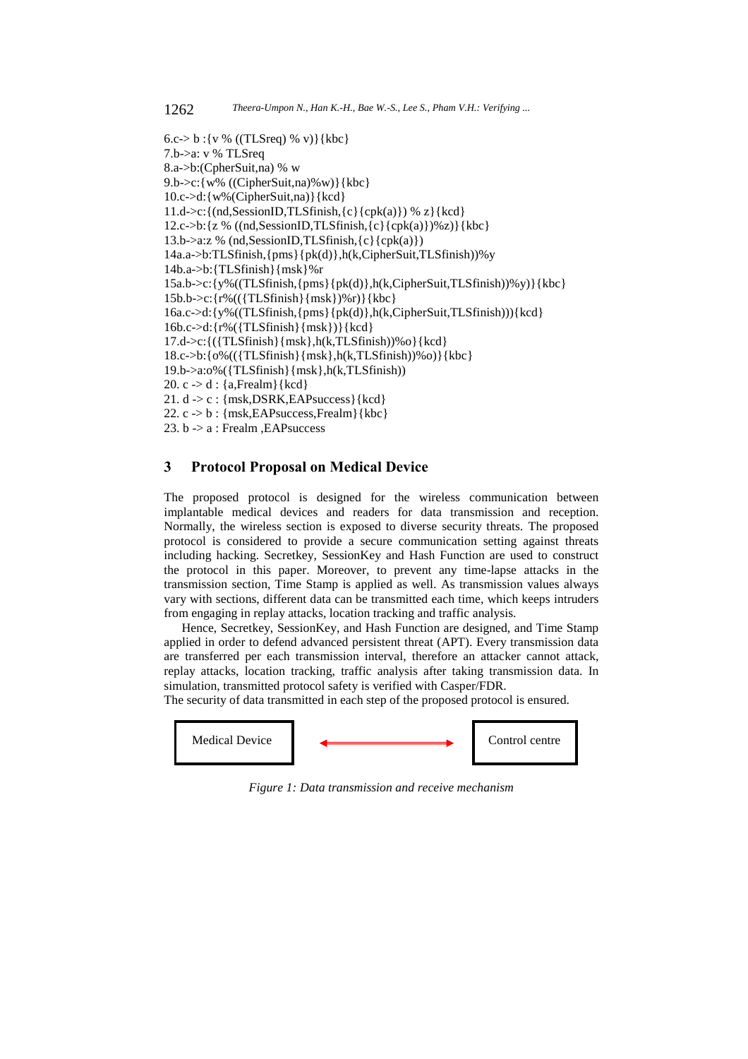```
6.c-> b : {v % ((TLSreq) % v)} {kbc}
7.b->a: v % TLSreq 
8.a->b:(CpherSuit,na) % w 
9.b->c:{w% ((CipherSuit,na)%w)}{kbc} 
10.c->d:{w%(CipherSuit,na)}{kcd} 
11.d->c:\{(nd,SessionID, TLSfinish, {c} {cpk(a)} ) % z\{kcd\}12.c->b:\{z \% ((nd, SessionID, TLSfinish, \{c\} {cpk(a)})%z)}{kbc}
13.b->a:z % (nd,SessionID,TLSfinish,{c}{cpk(a)}) 
14a.a->b:TLSfinish,{pms}{pk(d)},h(k,CipherSuit,TLSfinish))%y 
14b.a->b:{TLSfinish}{msk}%r 
15a.b\geq c:\{y\%((TLS finish, {pms}{pk(d)}, h(k,CipherSuit,TLS finish))\%y)\}{kbc}
15b.b->c:{r%(({TLSfinish}{msk})%r)}{kbc} 
16a.c.\geq d: {y%((TLSfinish, {pms}{pk(d)},h(k,CipherSuit,TLSfinish))){kcd}
16b.c->d:{r%({TLSfinish}{msk})}{kcd} 
17.d\text{-}c:\left\{\left(\left\{TLSfinish\right\}\left\{mk\right\},h(k,TLSfinish)\right\}\right\} (kcd)
18.c->b:\{o\}((\{TLSfinish\}\{msk\},h(k,TLSfinish))\(o\}}
19.b->a:o%({TLSfinish}{msk},h(k,TLSfinish)) 
20. c -> d : {a,Frealm}{kcd} 
21. d \rightarrow c: {msk,DSRK,EAPsuccess}{kcd}
22. c \rightarrow b: {msk,EAPsuccess,Frealm}{kbc}
23. b -> a : Frealm ,EAPsuccess
```
## **3 Protocol Proposal on Medical Device**

The proposed protocol is designed for the wireless communication between implantable medical devices and readers for data transmission and reception. Normally, the wireless section is exposed to diverse security threats. The proposed protocol is considered to provide a secure communication setting against threats including hacking. Secretkey, SessionKey and Hash Function are used to construct the protocol in this paper. Moreover, to prevent any time-lapse attacks in the transmission section, Time Stamp is applied as well. As transmission values always vary with sections, different data can be transmitted each time, which keeps intruders from engaging in replay attacks, location tracking and traffic analysis.

Hence, Secretkey, SessionKey, and Hash Function are designed, and Time Stamp applied in order to defend advanced persistent threat (APT). Every transmission data are transferred per each transmission interval, therefore an attacker cannot attack, replay attacks, location tracking, traffic analysis after taking transmission data. In simulation, transmitted protocol safety is verified with Casper/FDR. The security of data transmitted in each step of the proposed protocol is ensured.



*Figure 1: Data transmission and receive mechanism*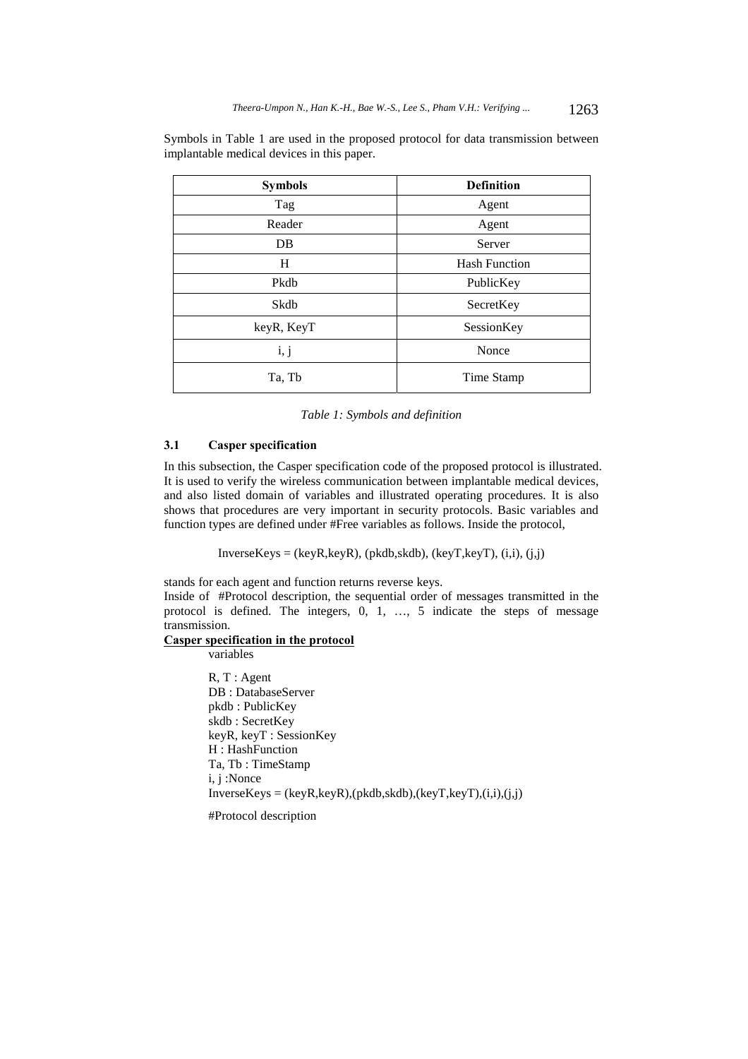Symbols in Table 1 are used in the proposed protocol for data transmission between implantable medical devices in this paper.

| <b>Symbols</b> | <b>Definition</b>    |
|----------------|----------------------|
| Tag            | Agent                |
| Reader         | Agent                |
| DB             | Server               |
| H              | <b>Hash Function</b> |
| Pkdb           | PublicKey            |
| Skdb           | SecretKey            |
| keyR, KeyT     | SessionKey           |
| i, j           | Nonce                |
| Ta, Tb         | Time Stamp           |

*Table 1: Symbols and definition* 

### **3.1 Casper specification**

In this subsection, the Casper specification code of the proposed protocol is illustrated. It is used to verify the wireless communication between implantable medical devices, and also listed domain of variables and illustrated operating procedures. It is also shows that procedures are very important in security protocols. Basic variables and function types are defined under #Free variables as follows. Inside the protocol,

 $InverseKeys = (keyR, keyR), (pkdb, skdb), (keyT, keyT), (i,i), (j,j)$ 

stands for each agent and function returns reverse keys.

Inside of #Protocol description, the sequential order of messages transmitted in the protocol is defined. The integers, 0, 1, …, 5 indicate the steps of message transmission.

### **Casper specification in the protocol**  variables

R, T : Agent DB : DatabaseServer pkdb : PublicKey skdb : SecretKey keyR, keyT : SessionKey H : HashFunction Ta, Tb : TimeStamp i, j :Nonce  $InverseKeys = (keyR, keyR), (pkdb, skdb), (keyT, keyT), (i,i), (j,j)$ 

#Protocol description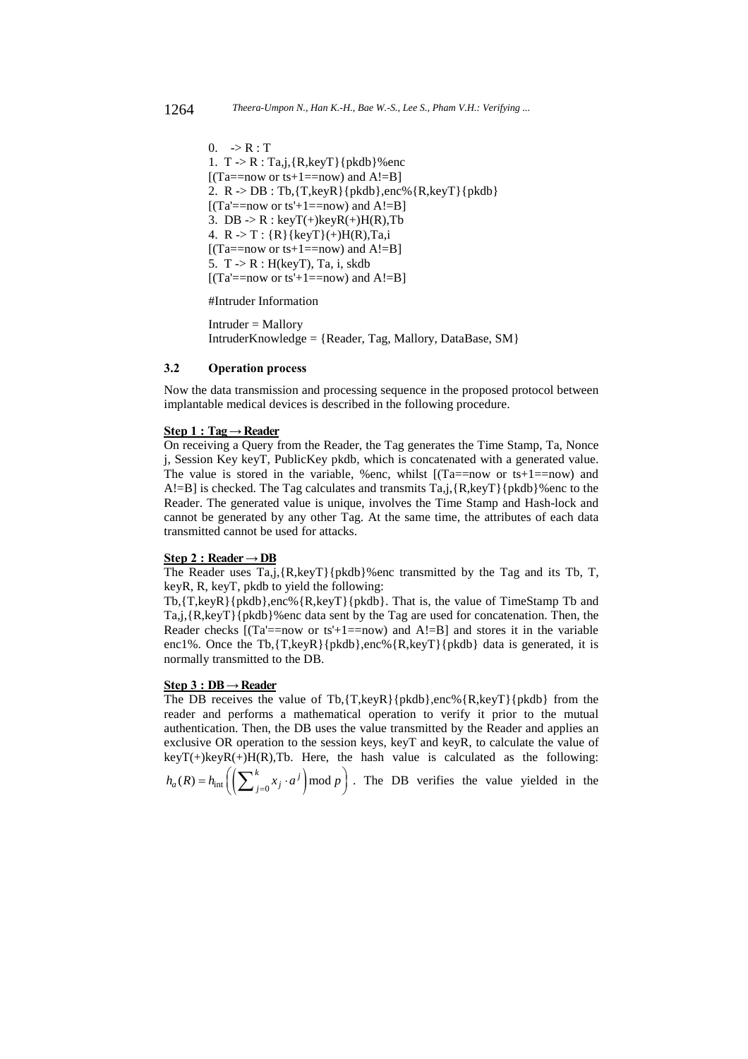$0. \Rightarrow R : T$ 1.  $T > R$ : Ta,j, $\{R \text{.kevT}\}\{pkdb\}\%$ enc  $[(Ta == now or ts+1 == now)$  and  $A!=B]$ 2.  $R$  ->  $DB$  : Tb, {T, key R} {pkdb}, enc% {R, key T} {pkdb}  $[(Ta'==now or ts'+1==now) and A!=B]$ 3. DB  $\rightarrow$  R : keyT(+)keyR(+)H(R),Tb 4.  $R > T : {R}$ {keyT}(+)H(R),Ta,i  $[(Ta == now or ts+1 == now)$  and  $A != B]$ 5. T -> R : H(keyT), Ta, i, skdb  $[(Ta'==now or ts'+1 == now)$  and  $A!=B]$ 

#Intruder Information

Intruder = Mallory IntruderKnowledge = {Reader, Tag, Mallory, DataBase, SM}

### **3.2 Operation process**

Now the data transmission and processing sequence in the proposed protocol between implantable medical devices is described in the following procedure.

#### $Step 1: Tag \rightarrow Reader$

On receiving a Query from the Reader, the Tag generates the Time Stamp, Ta, Nonce j, Session Key keyT, PublicKey pkdb, which is concatenated with a generated value. The value is stored in the variable, %enc, whilst  $[(Ta == now or ts+1 == now)$  and A!=B] is checked. The Tag calculates and transmits Ta,j,{R,keyT}{pkdb}%enc to the Reader. The generated value is unique, involves the Time Stamp and Hash-lock and cannot be generated by any other Tag. At the same time, the attributes of each data transmitted cannot be used for attacks.

## **Step 2 : Reader → DB**

The Reader uses  $Ta, j, \{R, keyT\}$  [pkdb]%enc transmitted by the Tag and its Tb, T, keyR, R, keyT, pkdb to yield the following:

Tb,{T,keyR}{pkdb},enc%{R,keyT}{pkdb}. That is, the value of TimeStamp Tb and Ta,j,{R,keyT}{pkdb}%enc data sent by the Tag are used for concatenation. Then, the Reader checks  $[(Ta' == now or ts' + 1 == now)$  and  $A != B]$  and stores it in the variable enc1%. Once the Tb, {T, keyR}{pkdb}, enc% {R, keyT}{pkdb} data is generated, it is normally transmitted to the DB.

## **Step 3 : DB → Reader**

The DB receives the value of Tb, $\{T, \text{keyR}\}\{\text{pkdb}\}\$ , enc%  $\{R, \text{keyT}\}\{\text{pkdb}\}$  from the reader and performs a mathematical operation to verify it prior to the mutual authentication. Then, the DB uses the value transmitted by the Reader and applies an exclusive OR operation to the session keys, keyT and keyR, to calculate the value of keyT(+)keyR(+)H(R),Tb. Here, the hash value is calculated as the following:

 $h_a(R) = h_{int} \left( \left( \sum_{j=0}^k x_j \cdot a^j \right) \mod p \right)$ . The DB verifies the value yielded in the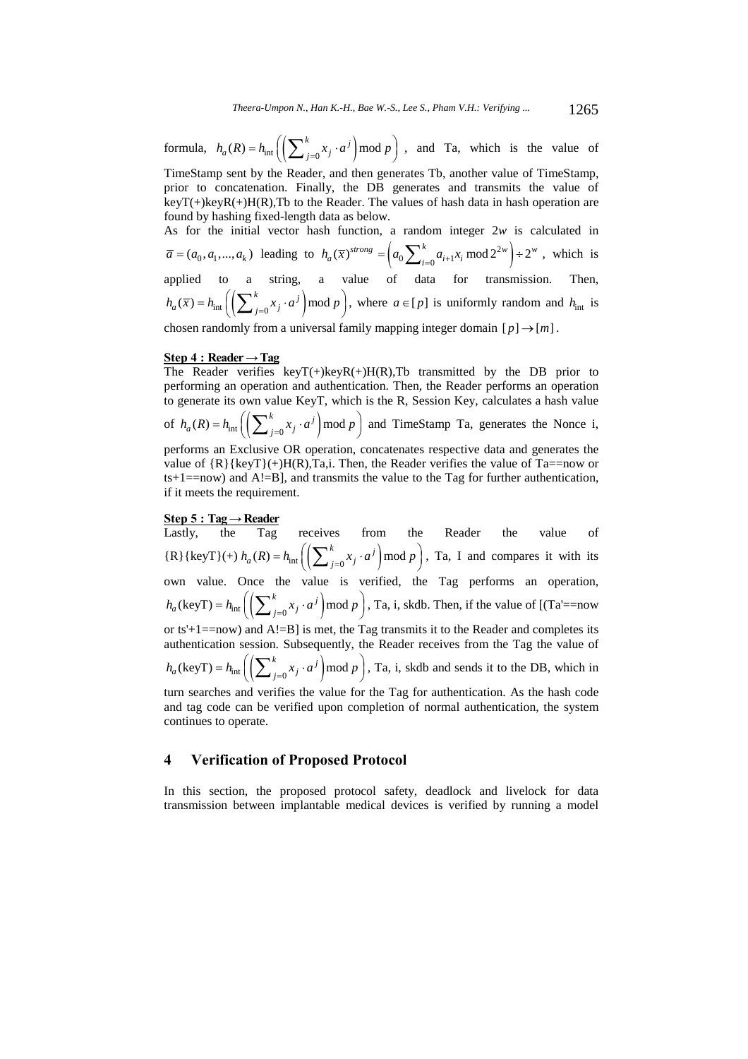formula,  $h_a(R) = h_{int} \left( \left( \sum_{j=0}^k x_j \cdot a^j \right) \mod p \right)$ , and Ta, which is the value of TimeStamp sent by the Reader, and then generates Tb, another value of TimeStamp, prior to concatenation. Finally, the DB generates and transmits the value of  $keyT(+)keyR(+)H(R),Tb$  to the Reader. The values of hash data in hash operation are found by hashing fixed-length data as below.

As for the initial vector hash function, a random integer 2*w* is calculated in  $\overline{a} = (a_0, a_1, \dots, a_k)$  leading to  $h_a(\overline{x})^{strong} = \left(a_0 \sum_{i=0}^k a_{i+1} x_i \mod 2^{2w}\right) \div 2^w$  $h_a(\overline{x})^{strong} = \left(a_0 \sum_{i=0}^{k} a_{i+1} x_i \mod 2^{2w}\right) \div 2^w$ , which is applied to a string, a value of data for transmission. Then,  $h_a(\overline{x}) = h_{int} \left( \left( \sum_{j=0}^k x_j \cdot a^j \right) \mod p \right)$ , where  $a \in [p]$  is uniformly random and  $h_{int}$  is

chosen randomly from a universal family mapping integer domain  $[p] \rightarrow [m]$ .

#### $Step 4: Reader \rightarrow Tag$

The Reader verifies  $keyT(+)keyR(+)H(R),Tb$  transmitted by the DB prior to performing an operation and authentication. Then, the Reader performs an operation to generate its own value KeyT, which is the R, Session Key, calculates a hash value of  $h_a(R) = h_{int} \left( \left( \sum_{j=0}^k x_j \cdot a^j \right) \mod p \right)$  and TimeStamp Ta, generates the Nonce i,

performs an Exclusive OR operation, concatenates respective data and generates the value of  ${R}{keyT}(-)H(R), Ta, i$ . Then, the Reader verifies the value of Ta==now or  $ts+1==now$ ) and  $A!=B$ ], and transmits the value to the Tag for further authentication, if it meets the requirement.

### **Step 5 : Tag → Reader**

Lastly, the Tag receives from the Reader the value of  ${R}$ { $keyT$ }(+)  $h_a(R) = h_{int} \left( \left( \sum_{j=0}^k x_j \cdot a^j \right) \mod p \right)$ , Ta, I and compares it with its own value. Once the value is verified, the Tag performs an operation,  $h_a(\text{keyT}) = h_{\text{int}}\left(\left(\sum_{j=0}^k x_j \cdot a^j\right) \mod p\right)$ , Ta, i, skdb. Then, if the value of [(Ta'==now or ts'+1==now) and  $A!=B$ ] is met, the Tag transmits it to the Reader and completes its authentication session. Subsequently, the Reader receives from the Tag the value of  $h_a(\text{keyT}) = h_{\text{int}}\left(\left(\sum_{j=0}^k x_j \cdot a^j\right) \mod p\right)$ , Ta, i, skdb and sends it to the DB, which in turn searches and verifies the value for the Tag for authentication. As the hash code and tag code can be verified upon completion of normal authentication, the system continues to operate.

### **4 Verification of Proposed Protocol**

In this section, the proposed protocol safety, deadlock and livelock for data transmission between implantable medical devices is verified by running a model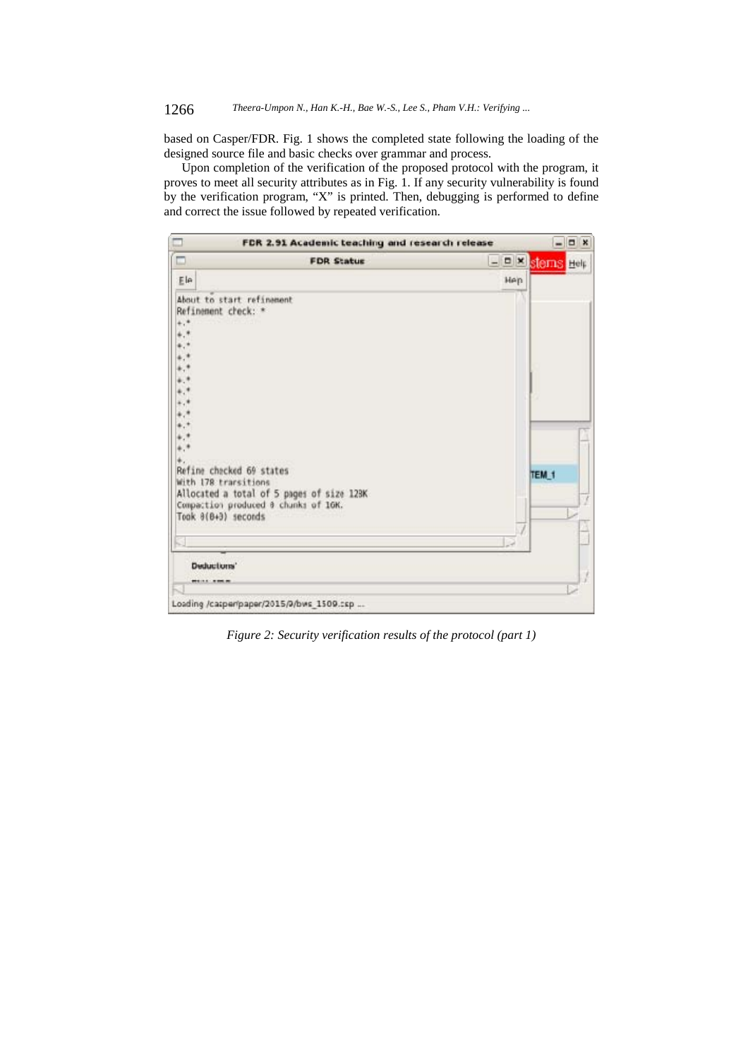## 1266 *Theera-Umpon N., Han K.-H., Bae W.-S., Lee S., Pham V.H.: Verifying ...*

based on Casper/FDR. Fig. 1 shows the completed state following the loading of the designed source file and basic checks over grammar and process.

Upon completion of the verification of the proposed protocol with the program, it proves to meet all security attributes as in Fig. 1. If any security vulnerability is found by the verification program, "X" is printed. Then, debugging is performed to define and correct the issue followed by repeated verification.

| $\Box$<br>FDR 2.91 Academic teaching and research release                                                                                                            |     |                   | $ \Box$ x |
|----------------------------------------------------------------------------------------------------------------------------------------------------------------------|-----|-------------------|-----------|
| $\Box$<br><b>FDR Statue</b>                                                                                                                                          |     | - DIX sterns Help |           |
| Ele                                                                                                                                                                  | Hen |                   |           |
| About to start refinancnt<br>Refinament check: *<br>$^{+,*}$                                                                                                         |     |                   |           |
| ************                                                                                                                                                         |     |                   |           |
| Refine checked 69 states<br>With 178 transitions<br>Allocated a total of 5 pages of size 12BK<br>Compaction produced 0 chunks of 1GK.<br>Took $\theta$ (0+3) seconds |     | TEM <sub>1</sub>  |           |
| <b>Deductions'</b>                                                                                                                                                   |     |                   |           |
| ------                                                                                                                                                               |     |                   |           |
| Loading /casper/paper/2015/9/bws 1509.csp                                                                                                                            |     |                   |           |

*Figure 2: Security verification results of the protocol (part 1)*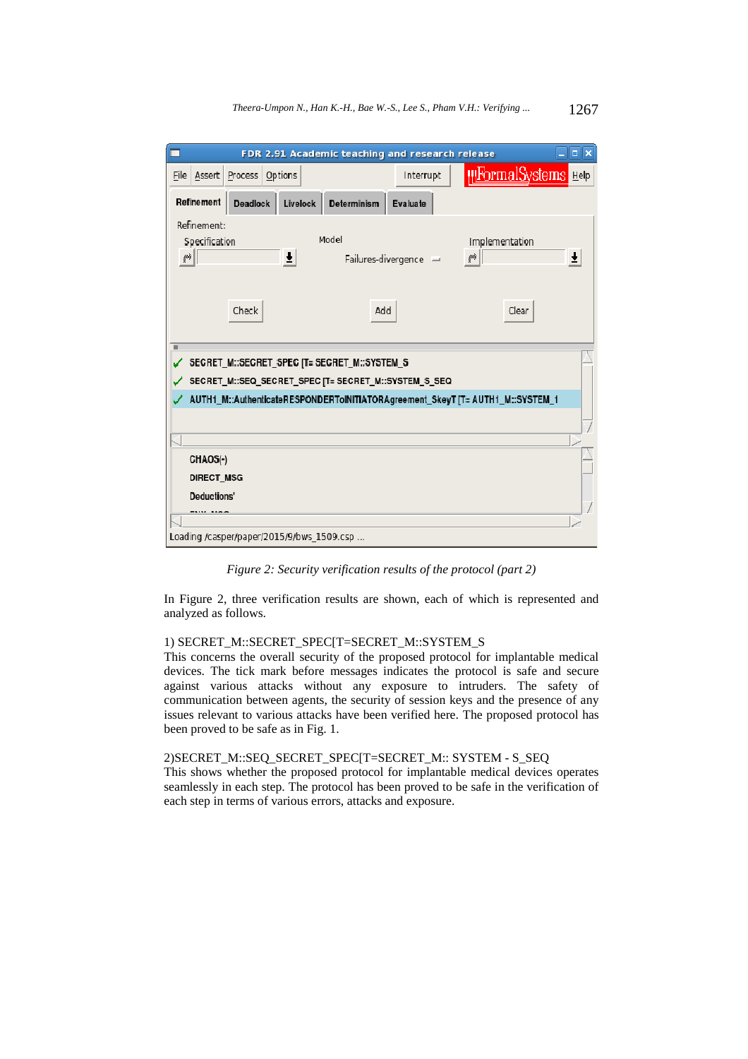| $ \ $ $\ $ $\times$<br>FDR 2.91 Academic teaching and research release |                                                                                                      |                       |                             |   |  |
|------------------------------------------------------------------------|------------------------------------------------------------------------------------------------------|-----------------------|-----------------------------|---|--|
| File Assert Process<br>Options                                         |                                                                                                      | Interrupt             | <b>HIFormalSystems</b> Help |   |  |
| Refinement<br><b>Deadlock</b>                                          | <b>Determinism</b><br>Livelock                                                                       | Evaluate              |                             |   |  |
| Refinement:<br>Specification<br>ęò                                     | Model<br>Ŧ                                                                                           | Failures-divergence - | Implementation<br>₩         | Ŧ |  |
| Check                                                                  | Add                                                                                                  |                       | Clear                       |   |  |
| ٠                                                                      | SECRET M::SECRET SPEC [T= SECRET M::SYSTEM S<br>SECRET M::SEQ SECRET SPEC [T= SECRET M::SYSTEM S SEQ |                       |                             |   |  |
|                                                                        | AUTH1_M::AuthenticateRESPONDERToINITIATORAgreement_SkeyT [T= AUTH1_M::SYSTEM_1                       |                       |                             |   |  |
|                                                                        |                                                                                                      |                       |                             |   |  |
|                                                                        |                                                                                                      |                       |                             |   |  |
| CHAOS(-)<br>DIRECT_MSG                                                 |                                                                                                      |                       |                             |   |  |
| <b>Deductions'</b>                                                     |                                                                                                      |                       |                             |   |  |
| --------                                                               |                                                                                                      |                       |                             |   |  |
| Loading /casper/paper/2015/9/bws 1509.csp                              |                                                                                                      |                       |                             |   |  |

*Figure 2: Security verification results of the protocol (part 2)* 

In Figure 2, three verification results are shown, each of which is represented and analyzed as follows.

## 1) SECRET\_M::SECRET\_SPEC[T=SECRET\_M::SYSTEM\_S

This concerns the overall security of the proposed protocol for implantable medical devices. The tick mark before messages indicates the protocol is safe and secure against various attacks without any exposure to intruders. The safety of communication between agents, the security of session keys and the presence of any issues relevant to various attacks have been verified here. The proposed protocol has been proved to be safe as in Fig. 1.

## 2)SECRET\_M::SEQ\_SECRET\_SPEC[T=SECRET\_M:: SYSTEM - S\_SEQ

This shows whether the proposed protocol for implantable medical devices operates seamlessly in each step. The protocol has been proved to be safe in the verification of each step in terms of various errors, attacks and exposure.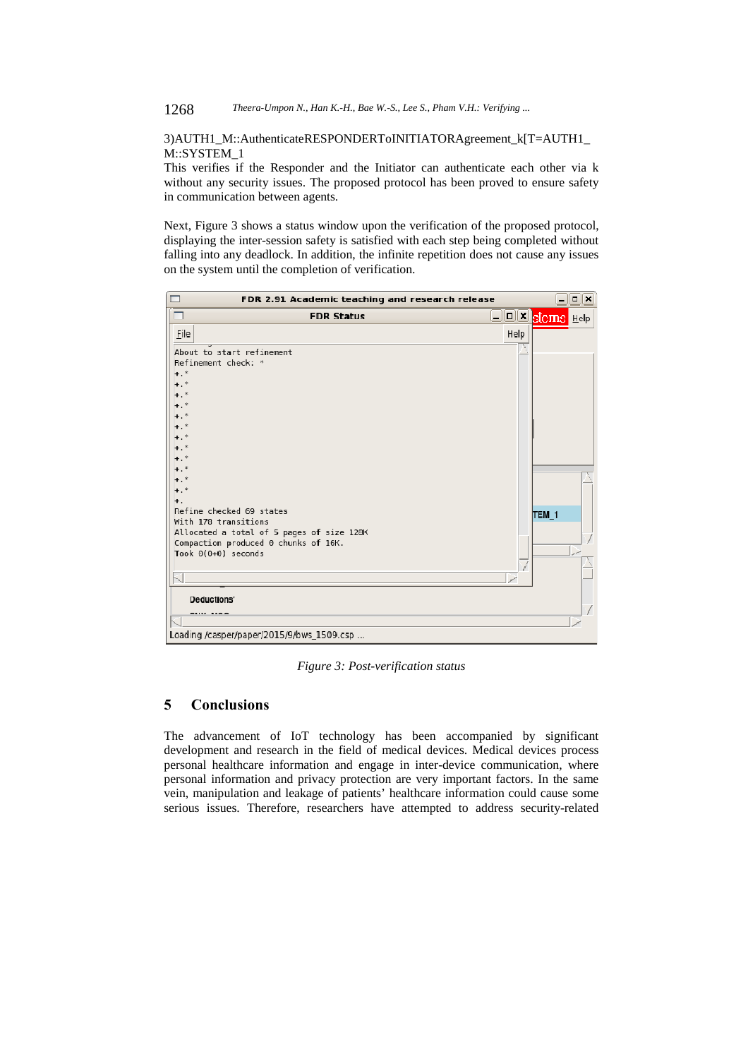## 3)AUTH1\_M::AuthenticateRESPONDERToINITIATORAgreement\_k[T=AUTH1\_ M::SYSTEM\_1

This verifies if the Responder and the Initiator can authenticate each other via k without any security issues. The proposed protocol has been proved to ensure safety in communication between agents.

Next, Figure 3 shows a status window upon the verification of the proposed protocol, displaying the inter-session safety is satisfied with each step being completed without falling into any deadlock. In addition, the infinite repetition does not cause any issues on the system until the completion of verification.

| FDR 2.91 Academic teaching and research release                                                                                  |      |                        | $\Box$ ek |
|----------------------------------------------------------------------------------------------------------------------------------|------|------------------------|-----------|
| <b>FDR Status</b>                                                                                                                |      | DEX <b>storns</b> Help |           |
| Eile                                                                                                                             | Help |                        |           |
| About to start refinement<br>Refinement check: *<br>$+$ .*<br>$+$ .*<br>$+$ .*                                                   |      |                        |           |
| $+$ .*<br>$+$ .<br>Refine checked 69 states                                                                                      |      |                        |           |
| With 178 transitions<br>Allocated a total of 5 pages of size 128K<br>Compaction produced 0 chunks of 16K.<br>Took 0(0+0) seconds |      | TEM_1                  |           |
| Deductions'<br>----- ----<br>Loading /casper/paper/2015/9/bws_1509.csp                                                           |      |                        |           |

*Figure 3: Post-verification status* 

## **5 Conclusions**

The advancement of IoT technology has been accompanied by significant development and research in the field of medical devices. Medical devices process personal healthcare information and engage in inter-device communication, where personal information and privacy protection are very important factors. In the same vein, manipulation and leakage of patients' healthcare information could cause some serious issues. Therefore, researchers have attempted to address security-related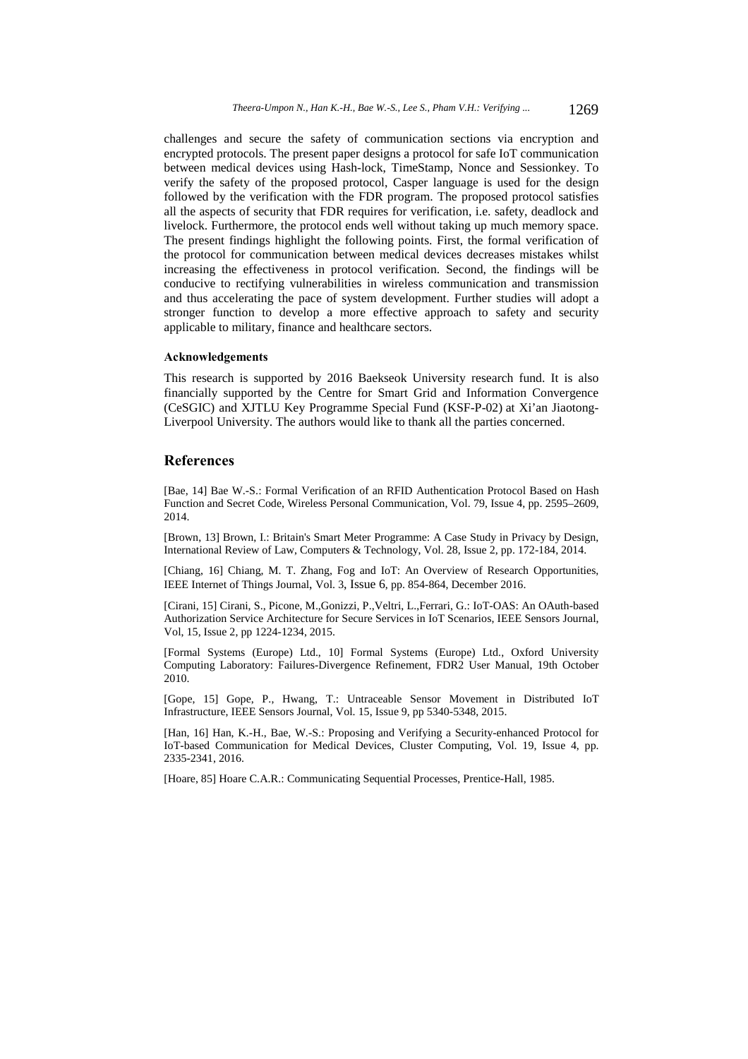challenges and secure the safety of communication sections via encryption and encrypted protocols. The present paper designs a protocol for safe IoT communication between medical devices using Hash-lock, TimeStamp, Nonce and Sessionkey. To verify the safety of the proposed protocol, Casper language is used for the design followed by the verification with the FDR program. The proposed protocol satisfies all the aspects of security that FDR requires for verification, i.e. safety, deadlock and livelock. Furthermore, the protocol ends well without taking up much memory space. The present findings highlight the following points. First, the formal verification of the protocol for communication between medical devices decreases mistakes whilst increasing the effectiveness in protocol verification. Second, the findings will be conducive to rectifying vulnerabilities in wireless communication and transmission and thus accelerating the pace of system development. Further studies will adopt a stronger function to develop a more effective approach to safety and security applicable to military, finance and healthcare sectors.

#### **Acknowledgements**

This research is supported by 2016 Baekseok University research fund. It is also financially supported by the Centre for Smart Grid and Information Convergence (CeSGIC) and XJTLU Key Programme Special Fund (KSF-P-02) at Xi'an Jiaotong-Liverpool University. The authors would like to thank all the parties concerned.

## **References**

[Bae, 14] Bae W.-S.: Formal Verification of an RFID Authentication Protocol Based on Hash Function and Secret Code, Wireless Personal Communication, Vol. 79, Issue 4, pp. 2595–2609, 2014.

[Brown, 13] Brown, I.: Britain's Smart Meter Programme: A Case Study in Privacy by Design, International Review of Law, Computers & Technology, Vol. 28, Issue 2, pp. 172-184, 2014.

[Chiang, 16] Chiang, M. T. Zhang, Fog and IoT: An Overview of Research Opportunities, IEEE Internet of Things Journal, Vol. 3, Issue 6, pp. 854-864, December 2016.

[Cirani, 15] Cirani, S., Picone, M.,Gonizzi, P.,Veltri, L.,Ferrari, G.: IoT-OAS: An OAuth-based Authorization Service Architecture for Secure Services in IoT Scenarios, IEEE Sensors Journal, Vol, 15, Issue 2, pp 1224-1234, 2015.

[Formal Systems (Europe) Ltd., 10] Formal Systems (Europe) Ltd., Oxford University Computing Laboratory: Failures-Divergence Refinement, FDR2 User Manual, 19th October 2010.

[Gope, 15] Gope, P., Hwang, T.: Untraceable Sensor Movement in Distributed IoT Infrastructure, IEEE Sensors Journal, Vol. 15, Issue 9, pp 5340-5348, 2015.

[Han, 16] Han, K.-H., Bae, W.-S.: Proposing and Verifying a Security-enhanced Protocol for IoT-based Communication for Medical Devices, Cluster Computing, Vol. 19, Issue 4, pp. 2335-2341, 2016.

[Hoare, 85] Hoare C.A.R.: Communicating Sequential Processes, Prentice-Hall, 1985.